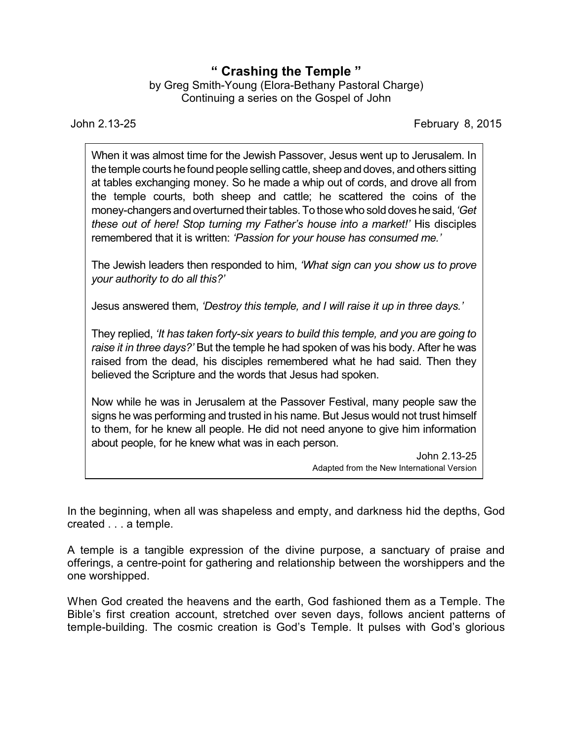## **" Crashing the Temple "**

by Greg Smith-Young (Elora-Bethany Pastoral Charge) Continuing a series on the Gospel of John

John 2.13-25 February 8, 2015

When it was almost time for the Jewish Passover, Jesus went up to Jerusalem. In the temple courts he found people selling cattle, sheep and doves, and others sitting at tables exchanging money. So he made a whip out of cords, and drove all from the temple courts, both sheep and cattle; he scattered the coins of the money-changers andoverturned theirtables. To thosewho solddoves hesaid, *'Get these out of here! Stop turning my Father's house into a market!'* His disciples remembered that it is written: *'Passion for your house has consumed me.'*

The Jewish leaders then responded to him, *'What sign can you show us to prove your authority to do all this?'*

Jesus answered them, *'Destroy this temple, and I will raise it up in three days.'*

They replied, *'It has taken forty-six years to build this temple, and you are going to raise it in three days?'* But the temple he had spoken of was his body. After he was raised from the dead, his disciples remembered what he had said. Then they believed the Scripture and the words that Jesus had spoken.

Now while he was in Jerusalem at the Passover Festival, many people saw the signs he was performing and trusted in his name. But Jesus would not trust himself to them, for he knew all people. He did not need anyone to give him information about people, for he knew what was in each person.

> John 2.13-25 Adapted from the New International Version

In the beginning, when all was shapeless and empty, and darkness hid the depths, God created . . . a temple.

A temple is a tangible expression of the divine purpose, a sanctuary of praise and offerings, a centre-point for gathering and relationship between the worshippers and the one worshipped.

When God created the heavens and the earth, God fashioned them as a Temple. The Bible's first creation account, stretched over seven days, follows ancient patterns of temple-building. The cosmic creation is God's Temple. It pulses with God's glorious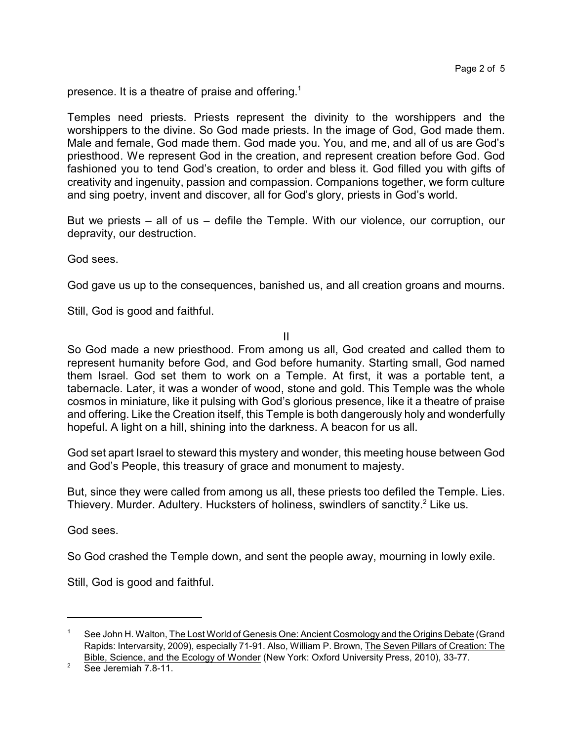presence. It is a theatre of praise and offering.<sup>1</sup>

Temples need priests. Priests represent the divinity to the worshippers and the worshippers to the divine. So God made priests. In the image of God, God made them. Male and female, God made them. God made you. You, and me, and all of us are God's priesthood. We represent God in the creation, and represent creation before God. God fashioned you to tend God's creation, to order and bless it. God filled you with gifts of creativity and ingenuity, passion and compassion. Companions together, we form culture and sing poetry, invent and discover, all for God's glory, priests in God's world.

But we priests – all of us – defile the Temple. With our violence, our corruption, our depravity, our destruction.

God sees.

God gave us up to the consequences, banished us, and all creation groans and mourns.

Still, God is good and faithful.

II

So God made a new priesthood. From among us all, God created and called them to represent humanity before God, and God before humanity. Starting small, God named them Israel. God set them to work on a Temple. At first, it was a portable tent, a tabernacle. Later, it was a wonder of wood, stone and gold. This Temple was the whole cosmos in miniature, like it pulsing with God's glorious presence, like it a theatre of praise and offering. Like the Creation itself, this Temple is both dangerously holy and wonderfully hopeful. A light on a hill, shining into the darkness. A beacon for us all.

God set apart Israel to steward this mystery and wonder, this meeting house between God and God's People, this treasury of grace and monument to majesty.

But, since they were called from among us all, these priests too defiled the Temple. Lies. Thievery. Murder. Adultery. Hucksters of holiness, swindlers of sanctity.<sup>2</sup> Like us.

God sees.

So God crashed the Temple down, and sent the people away, mourning in lowly exile.

Still, God is good and faithful.

<sup>1</sup> See John H. Walton, The Lost World of Genesis One: Ancient Cosmology and the Origins Debate (Grand Rapids: Intervarsity, 2009), especially 71-91. Also, William P. Brown, The Seven Pillars of Creation: The Bible, Science, and the Ecology of Wonder (New York: Oxford University Press, 2010), 33-77.

<sup>2</sup> See Jeremiah 7.8-11.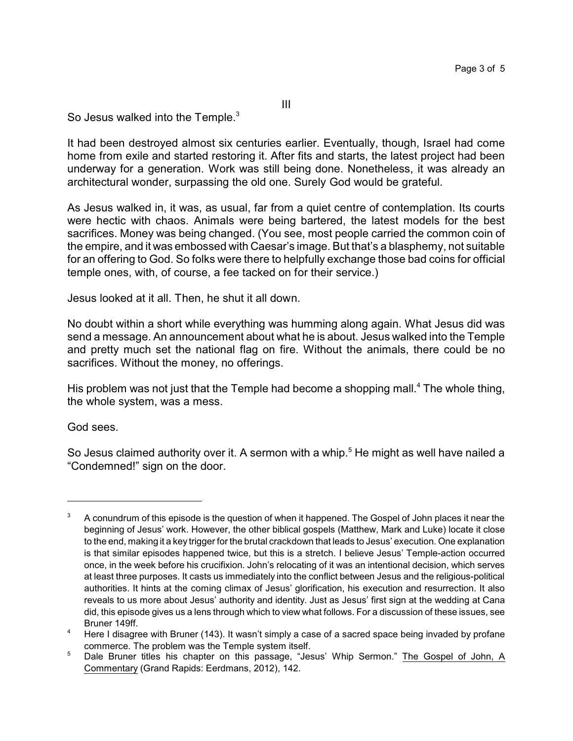III

So Jesus walked into the Temple.<sup>3</sup>

It had been destroyed almost six centuries earlier. Eventually, though, Israel had come home from exile and started restoring it. After fits and starts, the latest project had been underway for a generation. Work was still being done. Nonetheless, it was already an architectural wonder, surpassing the old one. Surely God would be grateful.

As Jesus walked in, it was, as usual, far from a quiet centre of contemplation. Its courts were hectic with chaos. Animals were being bartered, the latest models for the best sacrifices. Money was being changed. (You see, most people carried the common coin of the empire, and it was embossed with Caesar's image. But that's a blasphemy, not suitable for an offering to God. So folks were there to helpfully exchange those bad coins for official temple ones, with, of course, a fee tacked on for their service.)

Jesus looked at it all. Then, he shut it all down.

No doubt within a short while everything was humming along again. What Jesus did was send a message. An announcement about what he is about. Jesus walked into the Temple and pretty much set the national flag on fire. Without the animals, there could be no sacrifices. Without the money, no offerings.

His problem was not just that the Temple had become a shopping mall.<sup>4</sup> The whole thing, the whole system, was a mess.

God sees.

So Jesus claimed authority over it. A sermon with a whip.<sup>5</sup> He might as well have nailed a "Condemned!" sign on the door.

 $3 - A$  conundrum of this episode is the question of when it happened. The Gospel of John places it near the beginning of Jesus' work. However, the other biblical gospels (Matthew, Mark and Luke) locate it close to the end, making it a key trigger for the brutal crackdown that leads to Jesus' execution. One explanation is that similar episodes happened twice, but this is a stretch. I believe Jesus' Temple-action occurred once, in the week before his crucifixion. John's relocating of it was an intentional decision, which serves at least three purposes. It casts us immediately into the conflict between Jesus and the religious-political authorities. It hints at the coming climax of Jesus' glorification, his execution and resurrection. It also reveals to us more about Jesus' authority and identity. Just as Jesus' first sign at the wedding at Cana did, this episode gives us a lens through which to view what follows. For a discussion of these issues, see Bruner 149ff.

<sup>&</sup>lt;sup>4</sup> Here I disagree with Bruner (143). It wasn't simply a case of a sacred space being invaded by profane commerce. The problem was the Temple system itself.

<sup>&</sup>lt;sup>5</sup> Dale Bruner titles his chapter on this passage, "Jesus' Whip Sermon." The Gospel of John, A Commentary (Grand Rapids: Eerdmans, 2012), 142.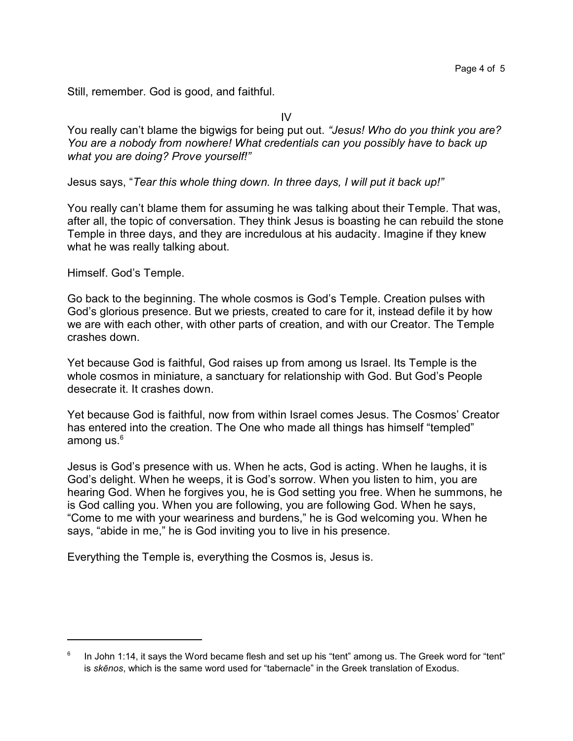Still, remember. God is good, and faithful.

IV

You really can't blame the bigwigs for being put out. *"Jesus! Who do you think you are? You are a nobody from nowhere! What credentials can you possibly have to back up what you are doing? Prove yourself!"*

Jesus says, "*Tear this whole thing down. In three days, I will put it back up!"*

You really can't blame them for assuming he was talking about their Temple. That was, after all, the topic of conversation. They think Jesus is boasting he can rebuild the stone Temple in three days, and they are incredulous at his audacity. Imagine if they knew what he was really talking about.

Himself. God's Temple.

Go back to the beginning. The whole cosmos is God's Temple. Creation pulses with God's glorious presence. But we priests, created to care for it, instead defile it by how we are with each other, with other parts of creation, and with our Creator. The Temple crashes down.

Yet because God is faithful, God raises up from among us Israel. Its Temple is the whole cosmos in miniature, a sanctuary for relationship with God. But God's People desecrate it. It crashes down.

Yet because God is faithful, now from within Israel comes Jesus. The Cosmos' Creator has entered into the creation. The One who made all things has himself "templed" among us. $6<sup>6</sup>$ 

Jesus is God's presence with us. When he acts, God is acting. When he laughs, it is God's delight. When he weeps, it is God's sorrow. When you listen to him, you are hearing God. When he forgives you, he is God setting you free. When he summons, he is God calling you. When you are following, you are following God. When he says, "Come to me with your weariness and burdens," he is God welcoming you. When he says, "abide in me," he is God inviting you to live in his presence.

Everything the Temple is, everything the Cosmos is, Jesus is.

<sup>6</sup> In John 1:14, it says the Word became flesh and set up his "tent" among us. The Greek word for "tent" is *skçnos*, which is the same word used for "tabernacle" in the Greek translation of Exodus.